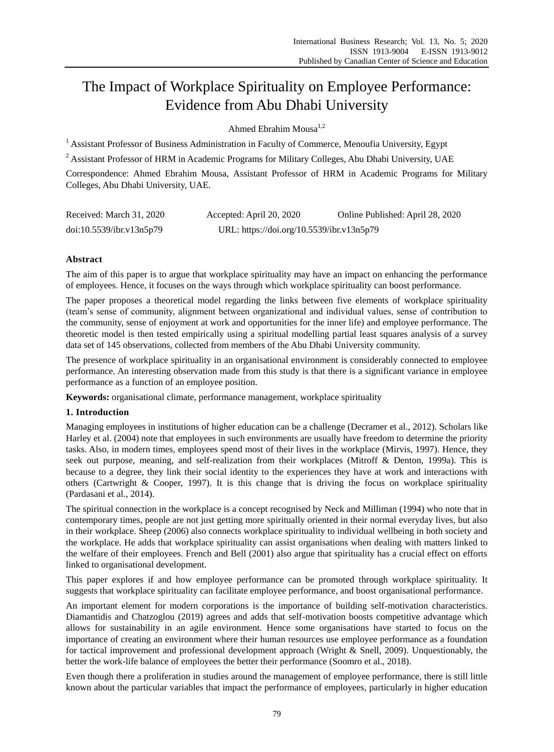# The Impact of Workplace Spirituality on Employee Performance: Evidence from Abu Dhabi University

Ahmed Ehrahim Mousa $^{1,2}$ 

<sup>1</sup> Assistant Professor of Business Administration in Faculty of Commerce, Menoufia University, Egypt

<sup>2</sup> Assistant Professor of HRM in Academic Programs for Military Colleges, Abu Dhabi University, UAE

Correspondence: Ahmed Ebrahim Mousa, Assistant Professor of HRM in Academic Programs for Military Colleges, Abu Dhabi University, UAE.

| Received: March 31, 2020 | Accepted: April 20, 2020                  | Online Published: April 28, 2020 |
|--------------------------|-------------------------------------------|----------------------------------|
| doi:10.5539/ibr.v13n5p79 | URL: https://doi.org/10.5539/ibr.v13n5p79 |                                  |

# **Abstract**

The aim of this paper is to argue that workplace spirituality may have an impact on enhancing the performance of employees. Hence, it focuses on the ways through which workplace spirituality can boost performance.

The paper proposes a theoretical model regarding the links between five elements of workplace spirituality (team's sense of community, alignment between organizational and individual values, sense of contribution to the community, sense of enjoyment at work and opportunities for the inner life) and employee performance. The theoretic model is then tested empirically using a spiritual modelling partial least squares analysis of a survey data set of 145 observations, collected from members of the Abu Dhabi University community.

The presence of workplace spirituality in an organisational environment is considerably connected to employee performance. An interesting observation made from this study is that there is a significant variance in employee performance as a function of an employee position.

**Keywords:** organisational climate, performance management, workplace spirituality

## **1. Introduction**

Managing employees in institutions of higher education can be a challenge (Decramer et al., 2012). Scholars like Harley et al. (2004) note that employees in such environments are usually have freedom to determine the priority tasks. Also, in modern times, employees spend most of their lives in the workplace (Mirvis, 1997). Hence, they seek out purpose, meaning, and self-realization from their workplaces (Mitroff & Denton, 1999a). This is because to a degree, they link their social identity to the experiences they have at work and interactions with others (Cartwright & Cooper, 1997). It is this change that is driving the focus on workplace spirituality (Pardasani et al., 2014).

The spiritual connection in the workplace is a concept recognised by Neck and Milliman (1994) who note that in contemporary times, people are not just getting more spiritually oriented in their normal everyday lives, but also in their workplace. Sheep (2006) also connects workplace spirituality to individual wellbeing in both society and the workplace. He adds that workplace spirituality can assist organisations when dealing with matters linked to the welfare of their employees. French and Bell (2001) also argue that spirituality has a crucial effect on efforts linked to organisational development.

This paper explores if and how employee performance can be promoted through workplace spirituality. It suggests that workplace spirituality can facilitate employee performance, and boost organisational performance.

An important element for modern corporations is the importance of building self-motivation characteristics. Diamantidis and Chatzoglou (2019) agrees and adds that self-motivation boosts competitive advantage which allows for sustainability in an agile environment. Hence some organisations have started to focus on the importance of creating an environment where their human resources use employee performance as a foundation for tactical improvement and professional development approach (Wright & Snell, 2009). Unquestionably, the better the work-life balance of employees the better their performance (Soomro et al., 2018).

Even though there a proliferation in studies around the management of employee performance, there is still little known about the particular variables that impact the performance of employees, particularly in higher education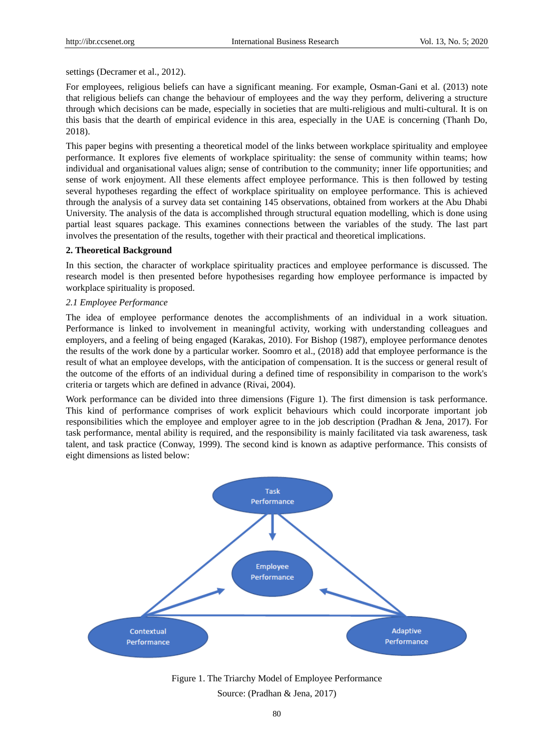settings (Decramer et al., 2012).

For employees, religious beliefs can have a significant meaning. For example, Osman-Gani et al. (2013) note that religious beliefs can change the behaviour of employees and the way they perform, delivering a structure through which decisions can be made, especially in societies that are multi-religious and multi-cultural. It is on this basis that the dearth of empirical evidence in this area, especially in the UAE is concerning (Thanh Do, 2018).

This paper begins with presenting a theoretical model of the links between workplace spirituality and employee performance. It explores five elements of workplace spirituality: the sense of community within teams; how individual and organisational values align; sense of contribution to the community; inner life opportunities; and sense of work enjoyment. All these elements affect employee performance. This is then followed by testing several hypotheses regarding the effect of workplace spirituality on employee performance. This is achieved through the analysis of a survey data set containing 145 observations, obtained from workers at the Abu Dhabi University. The analysis of the data is accomplished through structural equation modelling, which is done using partial least squares package. This examines connections between the variables of the study. The last part involves the presentation of the results, together with their practical and theoretical implications.

## **2. Theoretical Background**

In this section, the character of workplace spirituality practices and employee performance is discussed. The research model is then presented before hypothesises regarding how employee performance is impacted by workplace spirituality is proposed.

#### *2.1 Employee Performance*

The idea of employee performance denotes the accomplishments of an individual in a work situation. Performance is linked to involvement in meaningful activity, working with understanding colleagues and employers, and a feeling of being engaged (Karakas, 2010). For Bishop (1987), employee performance denotes the results of the work done by a particular worker. Soomro et al., (2018) add that employee performance is the result of what an employee develops, with the anticipation of compensation. It is the success or general result of the outcome of the efforts of an individual during a defined time of responsibility in comparison to the work's criteria or targets which are defined in advance (Rivai, 2004).

Work performance can be divided into three dimensions (Figure 1). The first dimension is task performance. This kind of performance comprises of work explicit behaviours which could incorporate important job responsibilities which the employee and employer agree to in the job description (Pradhan & Jena, 2017). For task performance, mental ability is required, and the responsibility is mainly facilitated via task awareness, task talent, and task practice (Conway, 1999). The second kind is known as adaptive performance. This consists of eight dimensions as listed below:



Figure 1. The Triarchy Model of Employee Performance Source: (Pradhan & Jena, 2017)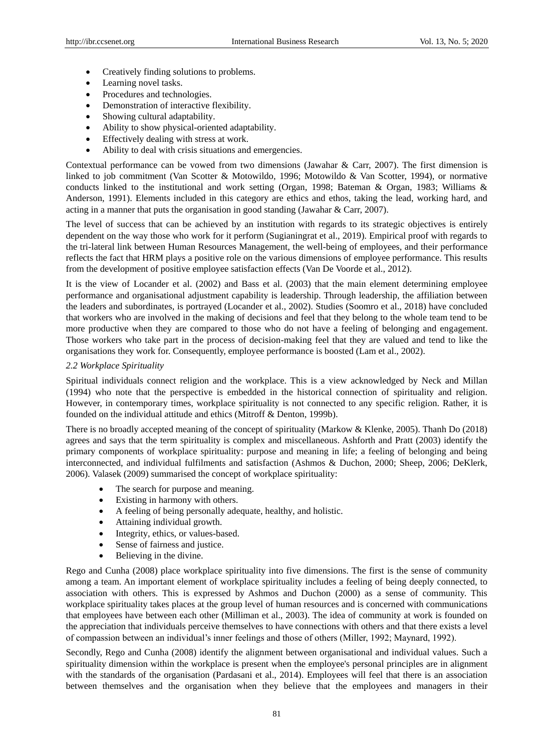- Creatively finding solutions to problems.
- Learning novel tasks.
- Procedures and technologies.
- Demonstration of interactive flexibility.
- Showing cultural adaptability.
- Ability to show physical-oriented adaptability.
- Effectively dealing with stress at work.
- Ability to deal with crisis situations and emergencies.

Contextual performance can be vowed from two dimensions (Jawahar & Carr, 2007). The first dimension is linked to job commitment (Van Scotter & Motowildo, 1996; Motowildo & Van Scotter, 1994), or normative conducts linked to the institutional and work setting (Organ, 1998; Bateman & Organ, 1983; Williams & Anderson, 1991). Elements included in this category are ethics and ethos, taking the lead, working hard, and acting in a manner that puts the organisation in good standing (Jawahar & Carr, 2007).

The level of success that can be achieved by an institution with regards to its strategic objectives is entirely dependent on the way those who work for it perform (Sugianingrat et al., 2019). Empirical proof with regards to the tri-lateral link between Human Resources Management, the well-being of employees, and their performance reflects the fact that HRM plays a positive role on the various dimensions of employee performance. This results from the development of positive employee satisfaction effects (Van De Voorde et al., 2012).

It is the view of Locander et al. (2002) and Bass et al. (2003) that the main element determining employee performance and organisational adjustment capability is leadership. Through leadership, the affiliation between the leaders and subordinates, is portrayed (Locander et al., 2002). Studies (Soomro et al., 2018) have concluded that workers who are involved in the making of decisions and feel that they belong to the whole team tend to be more productive when they are compared to those who do not have a feeling of belonging and engagement. Those workers who take part in the process of decision-making feel that they are valued and tend to like the organisations they work for. Consequently, employee performance is boosted (Lam et al., 2002).

#### *2.2 Workplace Spirituality*

Spiritual individuals connect religion and the workplace. This is a view acknowledged by Neck and Millan (1994) who note that the perspective is embedded in the historical connection of spirituality and religion. However, in contemporary times, workplace spirituality is not connected to any specific religion. Rather, it is founded on the individual attitude and ethics (Mitroff & Denton, 1999b).

There is no broadly accepted meaning of the concept of spirituality (Markow & Klenke, 2005). Thanh Do (2018) agrees and says that the term spirituality is complex and miscellaneous. Ashforth and Pratt (2003) identify the primary components of workplace spirituality: purpose and meaning in life; a feeling of belonging and being interconnected, and individual fulfilments and satisfaction (Ashmos & Duchon, 2000; Sheep, 2006; DeKlerk, 2006). Valasek (2009) summarised the concept of workplace spirituality:

- The search for purpose and meaning.
- Existing in harmony with others.
- A feeling of being personally adequate, healthy, and holistic.
- Attaining individual growth.
- Integrity, ethics, or values-based.
- Sense of fairness and justice.
- Believing in the divine.

Rego and Cunha (2008) place workplace spirituality into five dimensions. The first is the sense of community among a team. An important element of workplace spirituality includes a feeling of being deeply connected, to association with others. This is expressed by Ashmos and Duchon (2000) as a sense of community. This workplace spirituality takes places at the group level of human resources and is concerned with communications that employees have between each other (Milliman et al., 2003). The idea of community at work is founded on the appreciation that individuals perceive themselves to have connections with others and that there exists a level of compassion between an individual's inner feelings and those of others (Miller, 1992; Maynard, 1992).

Secondly, Rego and Cunha (2008) identify the alignment between organisational and individual values. Such a spirituality dimension within the workplace is present when the employee's personal principles are in alignment with the standards of the organisation (Pardasani et al., 2014). Employees will feel that there is an association between themselves and the organisation when they believe that the employees and managers in their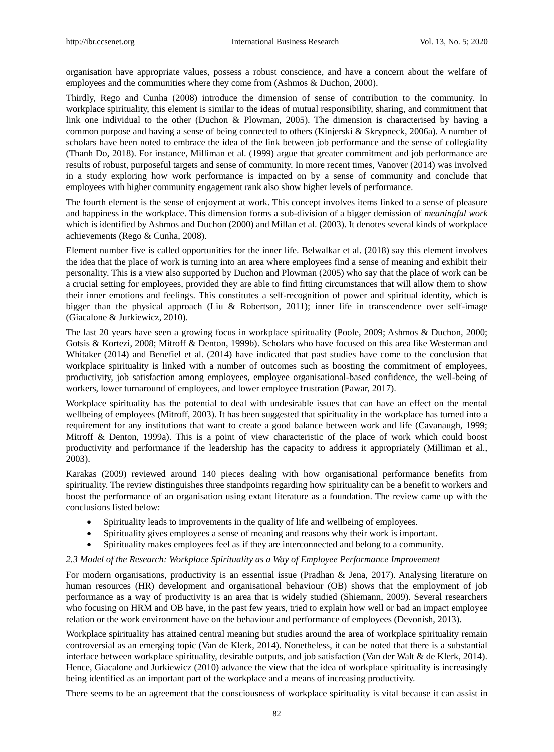organisation have appropriate values, possess a robust conscience, and have a concern about the welfare of employees and the communities where they come from (Ashmos & Duchon, 2000).

Thirdly, Rego and Cunha (2008) introduce the dimension of sense of contribution to the community. In workplace spirituality, this element is similar to the ideas of mutual responsibility, sharing, and commitment that link one individual to the other (Duchon & Plowman, 2005). The dimension is characterised by having a common purpose and having a sense of being connected to others (Kinjerski & Skrypneck, 2006a). A number of scholars have been noted to embrace the idea of the link between job performance and the sense of collegiality (Thanh Do, 2018). For instance, Milliman et al. (1999) argue that greater commitment and job performance are results of robust, purposeful targets and sense of community. In more recent times, Vanover (2014) was involved in a study exploring how work performance is impacted on by a sense of community and conclude that employees with higher community engagement rank also show higher levels of performance.

The fourth element is the sense of enjoyment at work. This concept involves items linked to a sense of pleasure and happiness in the workplace. This dimension forms a sub-division of a bigger demission of *meaningful work* which is identified by Ashmos and Duchon (2000) and Millan et al. (2003). It denotes several kinds of workplace achievements (Rego & Cunha, 2008).

Element number five is called opportunities for the inner life. Belwalkar et al. (2018) say this element involves the idea that the place of work is turning into an area where employees find a sense of meaning and exhibit their personality. This is a view also supported by Duchon and Plowman (2005) who say that the place of work can be a crucial setting for employees, provided they are able to find fitting circumstances that will allow them to show their inner emotions and feelings. This constitutes a self-recognition of power and spiritual identity, which is bigger than the physical approach (Liu & Robertson, 2011); inner life in transcendence over self-image (Giacalone & Jurkiewicz, 2010).

The last 20 years have seen a growing focus in workplace spirituality (Poole, 2009; Ashmos & Duchon, 2000; Gotsis & Kortezi, 2008; Mitroff & Denton, 1999b). Scholars who have focused on this area like Westerman and Whitaker (2014) and Benefiel et al. (2014) have indicated that past studies have come to the conclusion that workplace spirituality is linked with a number of outcomes such as boosting the commitment of employees, productivity, job satisfaction among employees, employee organisational-based confidence, the well-being of workers, lower turnaround of employees, and lower employee frustration (Pawar, 2017).

Workplace spirituality has the potential to deal with undesirable issues that can have an effect on the mental wellbeing of employees (Mitroff, 2003). It has been suggested that spirituality in the workplace has turned into a requirement for any institutions that want to create a good balance between work and life (Cavanaugh, 1999; Mitroff & Denton, 1999a). This is a point of view characteristic of the place of work which could boost productivity and performance if the leadership has the capacity to address it appropriately (Milliman et al., 2003).

Karakas (2009) reviewed around 140 pieces dealing with how organisational performance benefits from spirituality. The review distinguishes three standpoints regarding how spirituality can be a benefit to workers and boost the performance of an organisation using extant literature as a foundation. The review came up with the conclusions listed below:

- Spirituality leads to improvements in the quality of life and wellbeing of employees.
- Spirituality gives employees a sense of meaning and reasons why their work is important.
- Spirituality makes employees feel as if they are interconnected and belong to a community.

#### *2.3 Model of the Research: Workplace Spirituality as a Way of Employee Performance Improvement*

For modern organisations, productivity is an essential issue (Pradhan & Jena, 2017). Analysing literature on human resources (HR) development and organisational behaviour (OB) shows that the employment of job performance as a way of productivity is an area that is widely studied (Shiemann, 2009). Several researchers who focusing on HRM and OB have, in the past few years, tried to explain how well or bad an impact employee relation or the work environment have on the behaviour and performance of employees (Devonish, 2013).

Workplace spirituality has attained central meaning but studies around the area of workplace spirituality remain controversial as an emerging topic (Van de Klerk, 2014). Nonetheless, it can be noted that there is a substantial interface between workplace spirituality, desirable outputs, and job satisfaction (Van der Walt & de Klerk, 2014). Hence, Giacalone and Jurkiewicz (2010) advance the view that the idea of workplace spirituality is increasingly being identified as an important part of the workplace and a means of increasing productivity.

There seems to be an agreement that the consciousness of workplace spirituality is vital because it can assist in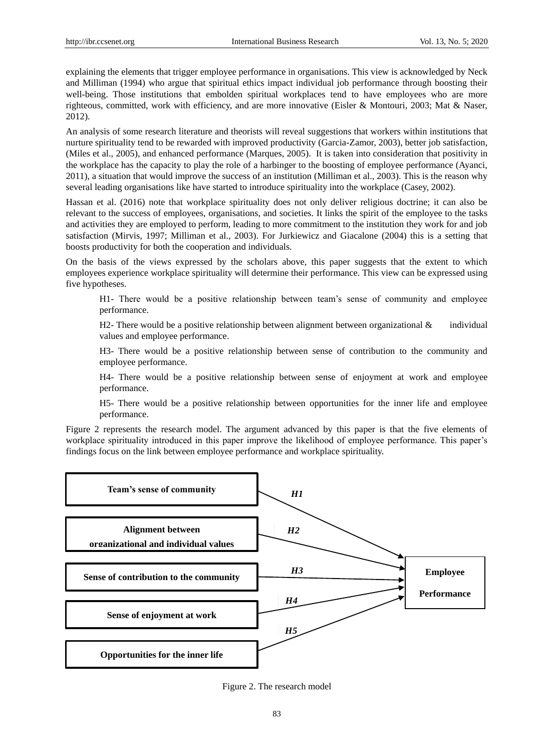explaining the elements that trigger employee performance in organisations. This view is acknowledged by Neck and Milliman (1994) who argue that spiritual ethics impact individual job performance through boosting their well-being. Those institutions that embolden spiritual workplaces tend to have employees who are more righteous, committed, work with efficiency, and are more innovative (Eisler & Montouri, 2003; Mat & Naser, 2012).

An analysis of some research literature and theorists will reveal suggestions that workers within institutions that nurture spirituality tend to be rewarded with improved productivity (Garcia-Zamor, 2003), better job satisfaction, (Miles et al., 2005), and enhanced performance (Marques, 2005). It is taken into consideration that positivity in the workplace has the capacity to play the role of a harbinger to the boosting of employee performance (Ayanci, 2011), a situation that would improve the success of an institution (Milliman et al., 2003). This is the reason why several leading organisations like have started to introduce spirituality into the workplace (Casey, 2002).

Hassan et al. (2016) note that workplace spirituality does not only deliver religious doctrine; it can also be relevant to the success of employees, organisations, and societies. It links the spirit of the employee to the tasks and activities they are employed to perform, leading to more commitment to the institution they work for and job satisfaction (Mirvis, 1997; Milliman et al., 2003). For Jurkiewicz and Giacalone (2004) this is a setting that boosts productivity for both the cooperation and individuals.

On the basis of the views expressed by the scholars above, this paper suggests that the extent to which employees experience workplace spirituality will determine their performance. This view can be expressed using five hypotheses.

H1- There would be a positive relationship between team's sense of community and employee performance.

H2- There would be a positive relationship between alignment between organizational  $\&$  individual values and employee performance.

H3- There would be a positive relationship between sense of contribution to the community and employee performance.

H4- There would be a positive relationship between sense of enjoyment at work and employee performance.

H5- There would be a positive relationship between opportunities for the inner life and employee performance.

Figure 2 represents the research model. The argument advanced by this paper is that the five elements of workplace spirituality introduced in this paper improve the likelihood of employee performance. This paper's findings focus on the link between employee performance and workplace spirituality.



Figure 2. The research model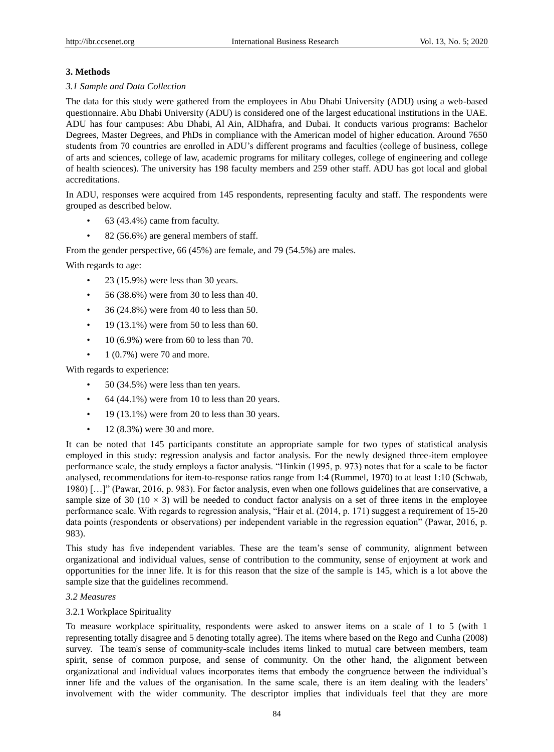## **3. Methods**

## *3.1 Sample and Data Collection*

The data for this study were gathered from the employees in Abu Dhabi University (ADU) using a web-based questionnaire. Abu Dhabi University (ADU) is considered one of the largest educational institutions in the UAE. ADU has four campuses: Abu Dhabi, Al Ain, AlDhafra, and Dubai. It conducts various programs: Bachelor Degrees, Master Degrees, and PhDs in compliance with the American model of higher education. Around 7650 students from 70 countries are enrolled in ADU's different programs and faculties (college of business, college of arts and sciences, college of law, academic programs for military colleges, college of engineering and college of health sciences). The university has 198 faculty members and 259 other staff. ADU has got local and global accreditations.

In ADU, responses were acquired from 145 respondents, representing faculty and staff. The respondents were grouped as described below.

- $63$  (43.4%) came from faculty.
- 82 (56.6%) are general members of staff.

From the gender perspective, 66 (45%) are female, and 79 (54.5%) are males.

With regards to age:

- 23 (15.9%) were less than 30 years.
- 56 (38.6%) were from 30 to less than 40.
- 36 (24.8%) were from 40 to less than 50.
- $\cdot$  19 (13.1%) were from 50 to less than 60.
- 10 (6.9%) were from 60 to less than 70.
- 1 (0.7%) were 70 and more.

With regards to experience:

- 50 (34.5%) were less than ten years.
- $\bullet$  64 (44.1%) were from 10 to less than 20 years.
- 19 (13.1%) were from 20 to less than 30 years.
- $12 (8.3\%)$  were 30 and more.

It can be noted that 145 participants constitute an appropriate sample for two types of statistical analysis employed in this study: regression analysis and factor analysis. For the newly designed three-item employee performance scale, the study employs a factor analysis. "Hinkin (1995, p. 973) notes that for a scale to be factor analysed, recommendations for item-to-response ratios range from 1:4 (Rummel, 1970) to at least 1:10 (Schwab, 1980) […]" (Pawar, 2016, p. 983). For factor analysis, even when one follows guidelines that are conservative, a sample size of 30 (10  $\times$  3) will be needed to conduct factor analysis on a set of three items in the employee performance scale. With regards to regression analysis, "Hair et al. (2014, p. 171) suggest a requirement of 15-20 data points (respondents or observations) per independent variable in the regression equation" (Pawar, 2016, p. 983).

This study has five independent variables. These are the team's sense of community, alignment between organizational and individual values, sense of contribution to the community, sense of enjoyment at work and opportunities for the inner life. It is for this reason that the size of the sample is 145, which is a lot above the sample size that the guidelines recommend.

## *3.2 Measures*

## 3.2.1 Workplace Spirituality

To measure workplace spirituality, respondents were asked to answer items on a scale of 1 to 5 (with 1 representing totally disagree and 5 denoting totally agree). The items where based on the Rego and Cunha (2008) survey. The team's sense of community-scale includes items linked to mutual care between members, team spirit, sense of common purpose, and sense of community. On the other hand, the alignment between organizational and individual values incorporates items that embody the congruence between the individual's inner life and the values of the organisation. In the same scale, there is an item dealing with the leaders' involvement with the wider community. The descriptor implies that individuals feel that they are more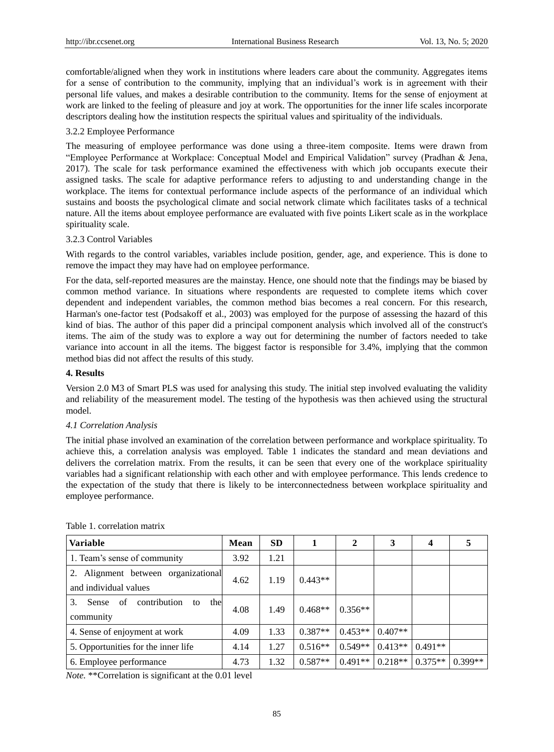comfortable/aligned when they work in institutions where leaders care about the community. Aggregates items for a sense of contribution to the community, implying that an individual's work is in agreement with their personal life values, and makes a desirable contribution to the community. Items for the sense of enjoyment at work are linked to the feeling of pleasure and joy at work. The opportunities for the inner life scales incorporate descriptors dealing how the institution respects the spiritual values and spirituality of the individuals.

## 3.2.2 Employee Performance

The measuring of employee performance was done using a three-item composite. Items were drawn from "Employee Performance at Workplace: Conceptual Model and Empirical Validation" survey (Pradhan & Jena, 2017). The scale for task performance examined the effectiveness with which job occupants execute their assigned tasks. The scale for adaptive performance refers to adjusting to and understanding change in the workplace. The items for contextual performance include aspects of the performance of an individual which sustains and boosts the psychological climate and social network climate which facilitates tasks of a technical nature. All the items about employee performance are evaluated with five points Likert scale as in the workplace spirituality scale.

## 3.2.3 Control Variables

With regards to the control variables, variables include position, gender, age, and experience. This is done to remove the impact they may have had on employee performance.

For the data, self-reported measures are the mainstay. Hence, one should note that the findings may be biased by common method variance. In situations where respondents are requested to complete items which cover dependent and independent variables, the common method bias becomes a real concern. For this research, Harman's one-factor test (Podsakoff et al., 2003) was employed for the purpose of assessing the hazard of this kind of bias. The author of this paper did a principal component analysis which involved all of the construct's items. The aim of the study was to explore a way out for determining the number of factors needed to take variance into account in all the items. The biggest factor is responsible for 3.4%, implying that the common method bias did not affect the results of this study.

## **4. Results**

Version 2.0 M3 of Smart PLS was used for analysing this study. The initial step involved evaluating the validity and reliability of the measurement model. The testing of the hypothesis was then achieved using the structural model.

## *4.1 Correlation Analysis*

The initial phase involved an examination of the correlation between performance and workplace spirituality. To achieve this, a correlation analysis was employed. Table 1 indicates the standard and mean deviations and delivers the correlation matrix. From the results, it can be seen that every one of the workplace spirituality variables had a significant relationship with each other and with employee performance. This lends credence to the expectation of the study that there is likely to be interconnectedness between workplace spirituality and employee performance.

| <b>Variable</b>                                              | Mean | <b>SD</b> |           | 2         | 3         | 4         | ⊃         |
|--------------------------------------------------------------|------|-----------|-----------|-----------|-----------|-----------|-----------|
| 1. Team's sense of community                                 | 3.92 | 1.21      |           |           |           |           |           |
| 2. Alignment between organizational<br>and individual values | 4.62 | 1.19      | $0.443**$ |           |           |           |           |
| contribution<br>the<br>3.<br>Sense<br>of<br>to<br>community  | 4.08 | 1.49      | $0.468**$ | $0.356**$ |           |           |           |
| 4. Sense of enjoyment at work                                | 4.09 | 1.33      | $0.387**$ | $0.453**$ | $0.407**$ |           |           |
| 5. Opportunities for the inner life                          | 4.14 | 1.27      | $0.516**$ | $0.549**$ | $0.413**$ | $0.491**$ |           |
| 6. Employee performance                                      | 4.73 | 1.32      | $0.587**$ | $0.491**$ | $0.218**$ | $0.375**$ | $0.399**$ |

[Table 1.](https://www-emeraldinsight-com.adu-lib-database.idm.oclc.org/doi/full/10.1108/JKM-10-2015-0398) correlation matrix

*Note.* \*\*Correlation is significant at the 0.01 level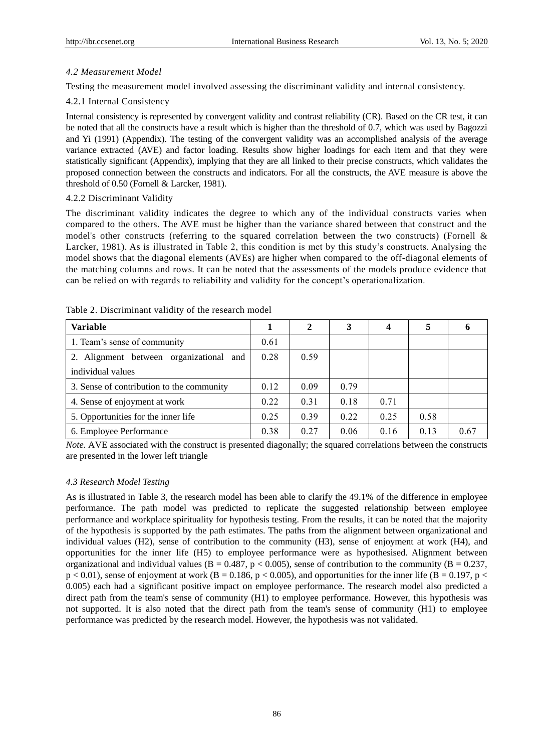# *4.2 Measurement Model*

Testing the measurement model involved assessing the discriminant validity and internal consistency.

# 4.2.1 Internal Consistency

Internal consistency is represented by convergent validity and contrast reliability (CR). Based on the CR test, it can be noted that all the constructs have a result which is higher than the threshold of 0.7, which was used by Bagozzi and Yi (1991) (Appendix). The testing of the convergent validity was an accomplished analysis of the average variance extracted (AVE) and factor loading. Results show higher loadings for each item and that they were statistically significant (Appendix), implying that they are all linked to their precise constructs, which validates the proposed connection between the constructs and indicators. For all the constructs, the AVE measure is above the threshold of 0.50 (Fornell & Larcker, 1981).

# 4.2.2 Discriminant Validity

The discriminant validity indicates the degree to which any of the individual constructs varies when compared to the others. The AVE must be higher than the variance shared between that construct and the model's other constructs (referring to the squared correlation between the two constructs) (Fornell & Larcker, 1981). As is illustrated in Table 2, this condition is met by this study's constructs. Analysing the model shows that the diagonal elements (AVEs) are higher when compared to the off-diagonal elements of the matching columns and rows. It can be noted that the assessments of the models produce evidence that can be relied on with regards to reliability and validity for the concept's operationalization.

| <b>Variable</b>                           |      | 2    | 3    | 4    | 5    |      |
|-------------------------------------------|------|------|------|------|------|------|
| 1. Team's sense of community              | 0.61 |      |      |      |      |      |
| 2. Alignment between organizational and   | 0.28 | 0.59 |      |      |      |      |
| individual values                         |      |      |      |      |      |      |
| 3. Sense of contribution to the community | 0.12 | 0.09 | 0.79 |      |      |      |
| 4. Sense of enjoyment at work             | 0.22 | 0.31 | 0.18 | 0.71 |      |      |
| 5. Opportunities for the inner life       | 0.25 | 0.39 | 0.22 | 0.25 | 0.58 |      |
| 6. Employee Performance                   | 0.38 | 0.27 | 0.06 | 0.16 | 0.13 | 0.67 |

Table 2. Discriminant validity of the research model

*Note.* AVE associated with the construct is presented diagonally; the squared correlations between the constructs are presented in the lower left triangle

# *4.3 Research Model Testing*

As is illustrated in Table 3, the research model has been able to clarify the 49.1% of the difference in employee performance. The path model was predicted to replicate the suggested relationship between employee performance and workplace spirituality for hypothesis testing. From the results, it can be noted that the majority of the hypothesis is supported by the path estimates. The paths from the alignment between organizational and individual values (H2), sense of contribution to the community (H3), sense of enjoyment at work (H4), and opportunities for the inner life (H5) to employee performance were as hypothesised. Alignment between organizational and individual values ( $B = 0.487$ ,  $p < 0.005$ ), sense of contribution to the community ( $B = 0.237$ ,  $p < 0.01$ ), sense of enjoyment at work (B = 0.186, p < 0.005), and opportunities for the inner life (B = 0.197, p < 0.005) each had a significant positive impact on employee performance. The research model also predicted a direct path from the team's sense of community (H1) to employee performance. However, this hypothesis was not supported. It is also noted that the direct path from the team's sense of community (H1) to employee performance was predicted by the research model. However, the hypothesis was not validated.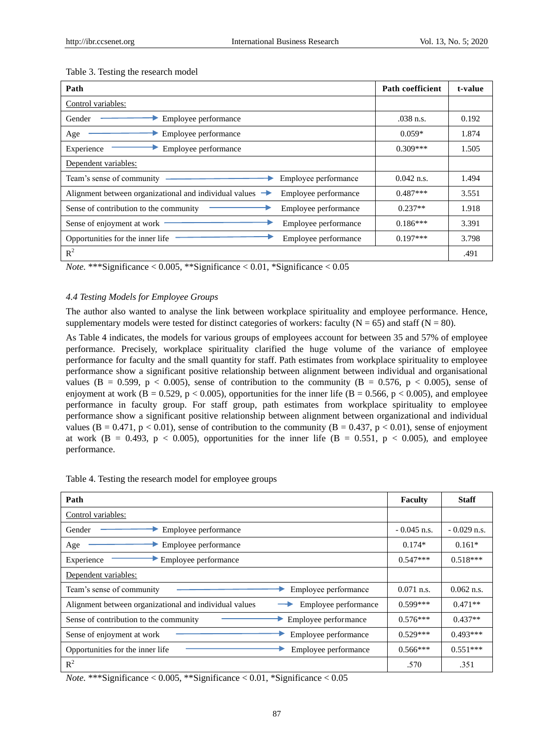| Path                                                                                         | Path coefficient | t-value |
|----------------------------------------------------------------------------------------------|------------------|---------|
| Control variables:                                                                           |                  |         |
| Employee performance<br>Gender                                                               | $.038$ n.s.      | 0.192   |
| Employee performance<br>Age                                                                  | $0.059*$         | 1.874   |
| Experience<br>Employee performance                                                           | $0.309***$       | 1.505   |
| Dependent variables:                                                                         |                  |         |
| Team's sense of community<br>Employee performance                                            | $0.042$ n.s.     | 1.494   |
| Alignment between organizational and individual values $\rightarrow$<br>Employee performance | $0.487***$       | 3.551   |
| Sense of contribution to the community<br>Employee performance                               | $0.237**$        | 1.918   |
| Sense of enjoyment at work<br>Employee performance                                           | $0.186***$       | 3.391   |
| Opportunities for the inner life<br>Employee performance                                     | $0.197***$       | 3.798   |
| $R^2$                                                                                        |                  | .491    |

#### Table 3. Testing the research model

*Note.* \*\*\*Significance < 0.005, \*\*Significance < 0.01, \*Significance < 0.05

## *4.4 Testing Models for Employee Groups*

The author also wanted to analyse the link between workplace spirituality and employee performance. Hence, supplementary models were tested for distinct categories of workers: faculty  $(N = 65)$  and staff  $(N = 80)$ .

As Table 4 indicates, the models for various groups of employees account for between 35 and 57% of employee performance. Precisely, workplace spirituality clarified the huge volume of the variance of employee performance for faculty and the small quantity for staff. Path estimates from workplace spirituality to employee performance show a significant positive relationship between alignment between individual and organisational values (B = 0.599, p < 0.005), sense of contribution to the community (B = 0.576, p < 0.005), sense of enjoyment at work ( $B = 0.529$ ,  $p < 0.005$ ), opportunities for the inner life ( $B = 0.566$ ,  $p < 0.005$ ), and employee performance in faculty group. For staff group, path estimates from workplace spirituality to employee performance show a significant positive relationship between alignment between organizational and individual values ( $B = 0.471$ ,  $p < 0.01$ ), sense of contribution to the community ( $B = 0.437$ ,  $p < 0.01$ ), sense of enjoyment at work (B = 0.493, p < 0.005), opportunities for the inner life (B = 0.551, p < 0.005), and employee performance.

|  | Table 4. Testing the research model for employee groups |  |  |  |
|--|---------------------------------------------------------|--|--|--|
|  |                                                         |  |  |  |

| Path                                                                           | <b>Faculty</b> | <b>Staff</b>  |
|--------------------------------------------------------------------------------|----------------|---------------|
| Control variables:                                                             |                |               |
| Employee performance<br>Gender                                                 | $-0.045$ n.s.  | $-0.029$ n.s. |
| Employee performance<br>Age                                                    | $0.174*$       | $0.161*$      |
| Experience<br>Employee performance                                             | $0.547***$     | $0.518***$    |
| Dependent variables:                                                           |                |               |
| Team's sense of community<br>Employee performance                              | $0.071$ n.s.   | $0.062$ n.s.  |
| Alignment between organizational and individual values<br>Employee performance | $0.599***$     | $0.471**$     |
| Sense of contribution to the community<br>Employee performance                 | $0.576***$     | $0.437**$     |
| Employee performance<br>Sense of enjoyment at work                             | $0.529***$     | $0.493***$    |
| Opportunities for the inner life<br>Employee performance                       | $0.566***$     | $0.551***$    |
| $R^2$                                                                          | .570           | .351          |

*Note.* \*\*\*Significance < 0.005, \*\*Significance < 0.01, \*Significance < 0.05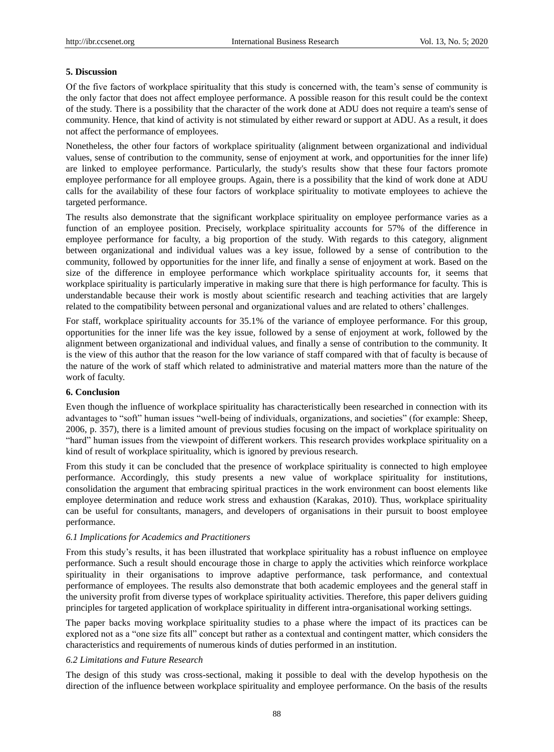#### **5. Discussion**

Of the five factors of workplace spirituality that this study is concerned with, the team's sense of community is the only factor that does not affect employee performance. A possible reason for this result could be the context of the study. There is a possibility that the character of the work done at ADU does not require a team's sense of community. Hence, that kind of activity is not stimulated by either reward or support at ADU. As a result, it does not affect the performance of employees.

Nonetheless, the other four factors of workplace spirituality (alignment between organizational and individual values, sense of contribution to the community, sense of enjoyment at work, and opportunities for the inner life) are linked to employee performance. Particularly, the study's results show that these four factors promote employee performance for all employee groups. Again, there is a possibility that the kind of work done at ADU calls for the availability of these four factors of workplace spirituality to motivate employees to achieve the targeted performance.

The results also demonstrate that the significant workplace spirituality on employee performance varies as a function of an employee position. Precisely, workplace spirituality accounts for 57% of the difference in employee performance for faculty, a big proportion of the study. With regards to this category, alignment between organizational and individual values was a key issue, followed by a sense of contribution to the community, followed by opportunities for the inner life, and finally a sense of enjoyment at work. Based on the size of the difference in employee performance which workplace spirituality accounts for, it seems that workplace spirituality is particularly imperative in making sure that there is high performance for faculty. This is understandable because their work is mostly about scientific research and teaching activities that are largely related to the compatibility between personal and organizational values and are related to others' challenges.

For staff, workplace spirituality accounts for 35.1% of the variance of employee performance. For this group, opportunities for the inner life was the key issue, followed by a sense of enjoyment at work, followed by the alignment between organizational and individual values, and finally a sense of contribution to the community. It is the view of this author that the reason for the low variance of staff compared with that of faculty is because of the nature of the work of staff which related to administrative and material matters more than the nature of the work of faculty.

#### **6. Conclusion**

Even though the influence of workplace spirituality has characteristically been researched in connection with its advantages to "soft" human issues "well-being of individuals, organizations, and societies" (for example: Sheep, 2006, p. 357), there is a limited amount of previous studies focusing on the impact of workplace spirituality on "hard" human issues from the viewpoint of different workers. This research provides workplace spirituality on a kind of result of workplace spirituality, which is ignored by previous research.

From this study it can be concluded that the presence of workplace spirituality is connected to high employee performance. Accordingly, this study presents a new value of workplace spirituality for institutions, consolidation the argument that embracing spiritual practices in the work environment can boost elements like employee determination and reduce work stress and exhaustion (Karakas, 2010). Thus, workplace spirituality can be useful for consultants, managers, and developers of organisations in their pursuit to boost employee performance.

## *6.1 Implications for Academics and Practitioners*

From this study's results, it has been illustrated that workplace spirituality has a robust influence on employee performance. Such a result should encourage those in charge to apply the activities which reinforce workplace spirituality in their organisations to improve adaptive performance, task performance, and contextual performance of employees. The results also demonstrate that both academic employees and the general staff in the university profit from diverse types of workplace spirituality activities. Therefore, this paper delivers guiding principles for targeted application of workplace spirituality in different intra-organisational working settings.

The paper backs moving workplace spirituality studies to a phase where the impact of its practices can be explored not as a "one size fits all" concept but rather as a contextual and contingent matter, which considers the characteristics and requirements of numerous kinds of duties performed in an institution.

## *6.2 Limitations and Future Research*

The design of this study was cross-sectional, making it possible to deal with the develop hypothesis on the direction of the influence between workplace spirituality and employee performance. On the basis of the results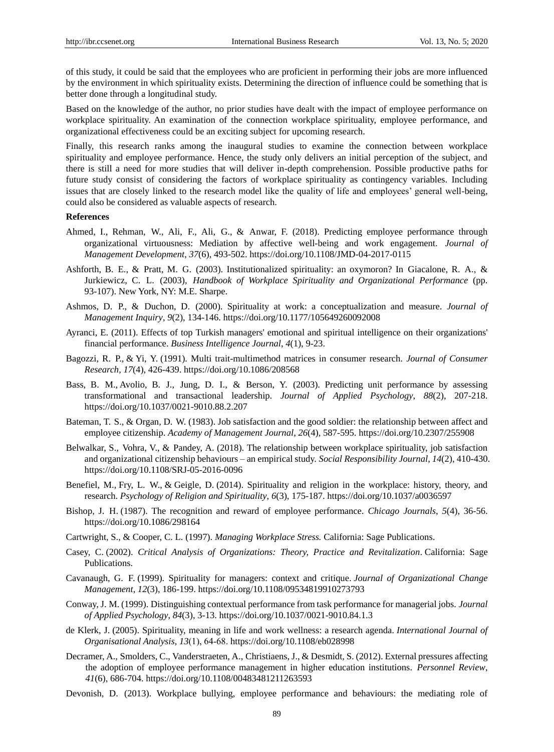of this study, it could be said that the employees who are proficient in performing their jobs are more influenced by the environment in which spirituality exists. Determining the direction of influence could be something that is better done through a longitudinal study.

Based on the knowledge of the author, no prior studies have dealt with the impact of employee performance on workplace spirituality. An examination of the connection workplace spirituality, employee performance, and organizational effectiveness could be an exciting subject for upcoming research.

Finally, this research ranks among the inaugural studies to examine the connection between workplace spirituality and employee performance. Hence, the study only delivers an initial perception of the subject, and there is still a need for more studies that will deliver in-depth comprehension. Possible productive paths for future study consist of considering the factors of workplace spirituality as contingency variables. Including issues that are closely linked to the research model like the quality of life and employees' general well-being, could also be considered as valuable aspects of research.

## **References**

- Ahmed, [I.,](https://www-emeraldinsight-com.adu-lib-database.idm.oclc.org/author/Ahmed%2C+Ishfaq) Rehman, [W.,](https://www-emeraldinsight-com.adu-lib-database.idm.oclc.org/author/Rehman%2C+Wasim-ul) Ali, [F.,](https://www-emeraldinsight-com.adu-lib-database.idm.oclc.org/author/Ali%2C+Fouzia) Ali, [G.,](https://www-emeraldinsight-com.adu-lib-database.idm.oclc.org/author/Ali%2C+Ghulam) & Anwar, [F.](https://www-emeraldinsight-com.adu-lib-database.idm.oclc.org/author/Anwar%2C+Farooq) (2018). Predicting employee performance through organizational virtuousness: Mediation by affective well-being and work engagement. *Journal of Management Development*, *37*(6), 493-502.<https://doi.org/10.1108/JMD-04-2017-0115>
- Ashforth, B. E., & Pratt, M. G. (2003). Institutionalized spirituality: an oxymoron? In Giacalone, R. A., & Jurkiewicz, C. L. (2003), *Handbook of Workplace Spirituality and Organizational Performance* (pp. 93-107). New York, NY: M.E. Sharpe.
- Ashmos, D. P., & Duchon, D. (2000). Spirituality at work: a conceptualization and measure. *Journal of Management Inquiry*, *9*(2), 134-146. https://doi.org/10.1177/105649260092008
- Ayranci, E. (2011). Effects of top Turkish managers' emotional and spiritual intelligence on their organizations' financial performance. *Business Intelligence Journal*, *4*(1), 9-23.
- Bagozzi, R. P., & Yi, Y. (1991). Multi trait-multimethod matrices in consumer research. *Journal of Consumer Research*, *17*(4), 426-439[. https://doi.org/10.1086/208568](https://doi.org/10.1086/208568)
- Bass, B. M., Avolio, B. J., Jung, D. I., & Berson, Y. (2003). Predicting unit performance by assessing transformational and transactional leadership. *Journal of Applied Psychology*, *88*(2), 207-218. https://doi.org/10.1037/0021-9010.88.2.207
- Bateman, T. S., & Organ, D. W. (1983). Job satisfaction and the good soldier: the relationship between affect and employee citizenship. *Academy of Management Journal*, *26*(4), 587-595. https://doi.org/10.2307/255908
- Belwalkar, [S.](https://www-emeraldinsight-com.adu-lib-database.idm.oclc.org/author/Belwalkar%2C+Shibani), Vohra, [V., &](https://www-emeraldinsight-com.adu-lib-database.idm.oclc.org/author/Vohra%2C+Veena) Pandey, [A. \(](https://www-emeraldinsight-com.adu-lib-database.idm.oclc.org/author/Pandey%2C+Ashish)2018). The relationship between workplace spirituality, job satisfaction and organizational citizenship behaviours – an empirical study. *Social Responsibility Journal*, *14*(2), 410-430. https://doi.org/10.1108/SRJ-05-2016-0096
- Benefiel, M., Fry, L. W., & Geigle, D. (2014). Spirituality and religion in the workplace: history, theory, and research. *Psychology of Religion and Spirituality*, *6*(3), 175-187. [https://doi.org/10.1037/a0036597](https://psycnet.apa.org/doi/10.1037/a0036597)
- Bishop, J. H. (1987). The recognition and reward of employee performance. *Chicago Journals*, *5*(4), 36-56. https://doi.org/10.1086/298164
- Cartwright, S., & Cooper, C. L. (1997). *Managing Workplace Stress.* California: Sage Publications.
- Casey, C. (2002). *Critical Analysis of Organizations: Theory, Practice and Revitalization*. California: Sage Publications.
- Cavanaugh, G. F. (1999). Spirituality for managers: context and critique. *Journal of Organizational Change Management*, *12*(3), 186-199.<https://doi.org/10.1108/09534819910273793>
- Conway, J. M. (1999). Distinguishing contextual performance from task performance for managerial jobs. *Journal of Applied Psychology*, *84*(3), 3-13[. https://doi.org/10.1037/0021-9010.84.1.3](https://psycnet.apa.org/doi/10.1037/0021-9010.84.1.3)
- de Klerk, J. (2005). Spirituality, meaning in life and work wellness: a research agenda. *International Journal of Organisational Analysis*, *13*(1), 64‐68.<https://doi.org/10.1108/eb028998>
- [Decramer,](https://www-emeraldinsight-com.adu-lib-database.idm.oclc.org/author/Decramer%2C+Adelien) A., [Smolders,](https://www-emeraldinsight-com.adu-lib-database.idm.oclc.org/author/Smolders%2C+Carine) C., [Vanderstraeten,](https://www-emeraldinsight-com.adu-lib-database.idm.oclc.org/author/Vanderstraeten%2C+Alex) A., [Christiaens,](https://www-emeraldinsight-com.adu-lib-database.idm.oclc.org/author/Christiaens%2C+Johan) J., [& Desmidt,](https://www-emeraldinsight-com.adu-lib-database.idm.oclc.org/author/Desmidt%2C+Sebastian) S. (2012). External pressures affecting the adoption of employee performance management in higher education institutions. *Personnel Review*, *41*(6), 686-704.<https://doi.org/10.1108/00483481211263593>
- Devonish, D. (2013). Workplace bullying, employee performance and behaviours: the mediating role of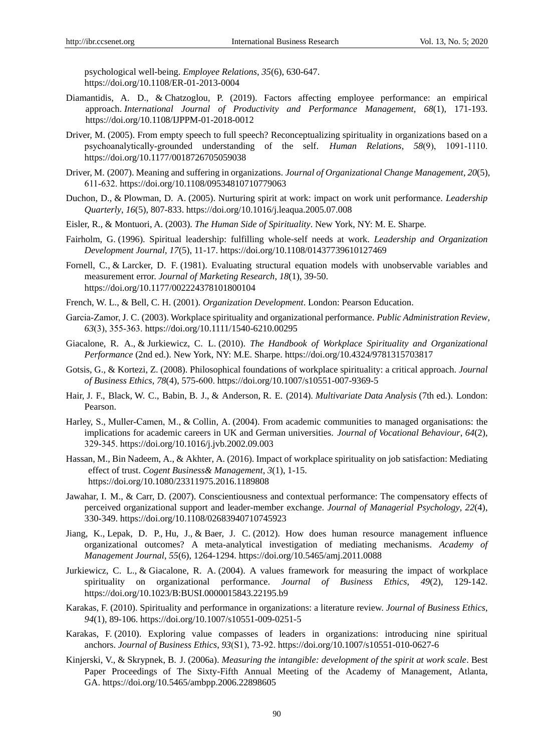psychological well-being. *Employee Relations*, *35*(6), 630-647. <https://doi.org/10.1108/ER-01-2013-0004>

- [Diamantidis,](https://www-emeraldinsight-com.adu-lib-database.idm.oclc.org/author/Diamantidis%2C+Anastasios+D) A. D., & [Chatzoglou,](https://www-emeraldinsight-com.adu-lib-database.idm.oclc.org/author/Chatzoglou%2C+Prodromos) P. (2019). Factors affecting employee performance: an empirical approach. *International Journal of Productivity and Performance Management*, *68*(1), 171-193. <https://doi.org/10.1108/IJPPM-01-2018-0012>
- Driver, M. (2005). From empty speech to full speech? Reconceptualizing spirituality in organizations based on a psychoanalytically‐grounded understanding of the self. *Human Relations*, *58*(9), 1091‐1110. [https://doi.org/10.1177/0018726705059038](https://doi.org/10.1177%2F0018726705059038)
- Driver, M. (2007). Meaning and suffering in organizations. *Journal of Organizational Change Management*, *20*(5), 611‐632. <https://doi.org/10.1108/09534810710779063>
- Duchon, D., & Plowman, D. A. (2005). Nurturing spirit at work: impact on work unit performance. *Leadership Quarterly*, *16*(5), 807-833. https://doi.org/10.1016/j.leaqua.2005.07.008
- Eisler, R., & Montuori, A. (2003). *The Human Side of Spirituality*. New York, NY: M. E. Sharpe.
- Fairholm, G. (1996). Spiritual leadership: fulfilling whole-self needs at work. *Leadership and Organization Development Journal*, *17*(5), 11-17.<https://doi.org/10.1108/01437739610127469>
- Fornell, C., & Larcker, D. F. (1981). Evaluating structural equation models with unobservable variables and measurement error. *Journal of Marketing Research*, *18*(1), 39-50. https://doi.org/10.1177/002224378101800104
- French, W. L., & Bell, C. H. (2001). *Organization Development*. London: Pearson Education.
- Garcia‐Zamor, J. C. (2003). Workplace spirituality and organizational performance. *Public Administration Review*, *63*(3), 355‐363.<https://doi.org/10.1111/1540-6210.00295>
- Giacalone, R. A., & Jurkiewicz, C. L. (2010). *The Handbook of Workplace Spirituality and Organizational Performance* (2nd ed.). New York, NY: M.E. Sharpe. https://doi.org/10.4324/9781315703817
- Gotsis, G., & Kortezi, Z. (2008). Philosophical foundations of workplace spirituality: a critical approach. *Journal of Business Ethics*, *78*(4), 575‐600. https://doi.org/10.1007/s10551-007-9369-5
- Hair, J. F., Black, W. C., Babin, B. J., & Anderson, R. E. (2014). *Multivariate Data Analysis* (7th ed.). London: Pearson.
- Harley, S., Muller-Camen, M., & Collin, A. (2004). From academic communities to managed organisations: the implications for academic careers in UK and German universities. *Journal of Vocational Behaviour*, *64*(2), 329‐345.<https://doi.org/10.1016/j.jvb.2002.09.003>
- [Hassan,](https://www.tandfonline.com/author/Hassan%2C+Misbah) M.[, Bin Nadeem,](https://www.tandfonline.com/author/Bin+Nadeem%2C+Ali) A., & [Akhter,](https://www.tandfonline.com/author/Akhter%2C+Asma) A. (2016). Impact of workplace spirituality on job satisfaction: Mediating effect of trust. *Cogent Business& Management*, *3*(1), 1-15. https://doi.org/10.1080/23311975.2016.1189808
- Jawahar, I. M., & Carr, D. (2007). Conscientiousness and contextual performance: The compensatory effects of perceived organizational support and leader-member exchange. *Journal of Managerial Psychology*, *22*(4), 330-349.<https://doi.org/10.1108/02683940710745923>
- Jiang, K., Lepak, D. P., Hu, J., & Baer, J. C. (2012). How does human resource management influence organizational outcomes? A meta-analytical investigation of mediating mechanisms. *Academy of Management Journal*, *55*(6), 1264-1294[. https://doi.org/10.5465/amj.2011.0088](https://doi.org/10.5465/amj.2011.0088)
- Jurkiewicz, C. L., & Giacalone, R. A. (2004). A values framework for measuring the impact of workplace spirituality on organizational performance. *Journal of Business Ethics*, *49*(2), 129-142. https://doi.org/10.1023/B:BUSI.0000015843.22195.b9
- Karakas, F. (2010). Spirituality and performance in organizations: a literature review. *Journal of Business Ethics*, *94*(1), 89-106. https://doi.org/10.1007/s10551-009-0251-5
- Karakas, F. (2010). Exploring value compasses of leaders in organizations: introducing nine spiritual anchors. *Journal of Business Ethics*, *93*(S1), 73‐92. https://doi.org/10.1007/s10551-010-0627-6
- Kinjerski, V., & Skrypnek, B. J. (2006a). *Measuring the intangible: development of the spirit at work scale*. Best Paper Proceedings of The Sixty-Fifth Annual Meeting of the Academy of Management, Atlanta, GA. https://doi.org/10.5465/ambpp.2006.22898605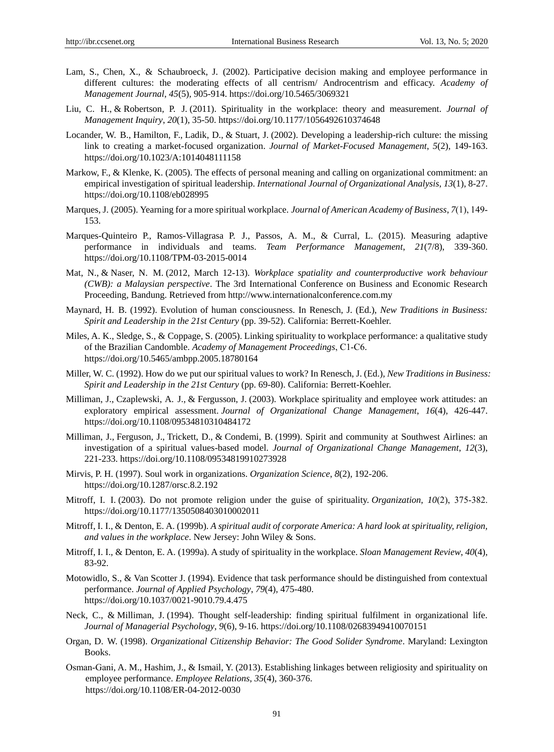- Lam, S., Chen, X., & Schaubroeck, J. (2002). Participative decision making and employee performance in different cultures: the moderating effects of all centrism/ Androcentrism and efficacy. *Academy of Management Journal*, *45*(5), 905-914[. https://doi.org/10.5465/3069321](https://doi.org/10.5465/3069321)
- Liu, C. H., & Robertson, P. J. (2011). Spirituality in the workplace: theory and measurement. *Journal of Management Inquiry*, *20*(1), 35-50. https://doi.org/10.1177/1056492610374648
- Locander, W. B., Hamilton, F., Ladik, D., & Stuart, J. (2002). Developing a leadership-rich culture: the missing link to creating a market-focused organization. *Journal of Market-Focused Management*, *5*(2), 149-163. https://doi.org/10.1023/A:1014048111158
- Markow, F., & Klenke, K. (2005). The effects of personal meaning and calling on organizational commitment: an empirical investigation of spiritual leadership. *International Journal of Organizational Analysis*, *13*(1), 8-27. [https://doi.org/10.1108/eb028995](https://psycnet.apa.org/doi/10.1108/eb028995)
- Marques, J. (2005). Yearning for a more spiritual workplace. *Journal of American Academy of Business*, *7*(1), 149‐ 153.
- Marques-Quinteiro P., Ramos-Villagrasa P. J., Passos, A. M., & Curral, L. (2015). Measuring adaptive performance in individuals and teams. *Team Performance Management*, *21*(7/8), 339-360. <https://doi.org/10.1108/TPM-03-2015-0014>
- Mat, N., & Naser, N. M. (2012, March 12-13). *Workplace spatiality and counterproductive work behaviour (CWB): a Malaysian perspective*. The 3rd International Conference on Business and Economic Research Proceeding, Bandung. Retrieved from http://www.internationalconference.com.my
- Maynard, H. B. (1992). Evolution of human consciousness. In Renesch, J. (Ed.), *New Traditions in Business: Spirit and Leadership in the 21st Century* (pp. 39-52). California: Berrett-Koehler.
- Miles, A. K., Sledge, S., & Coppage, S. (2005). Linking spirituality to workplace performance: a qualitative study of the Brazilian Candomble. *Academy of Management Proceedings*, C1‐C6. https://doi.org/10.5465/ambpp.2005.18780164
- Miller, W. C. (1992). How do we put our spiritual values to work? In Renesch, J. (Ed.), *New Traditions in Business: Spirit and Leadership in the 21st Century* (pp. 69-80). California: Berrett-Koehler.
- Milliman, J., Czaplewski, A. J., & Fergusson, J. (2003). Workplace spirituality and employee work attitudes: an exploratory empirical assessment. *Journal of Organizational Change Management*, *16*(4), 426-447. https://doi.org/10.1108/09534810310484172
- Milliman, J., Ferguson, J., Trickett, D., & Condemi, B. (1999). Spirit and community at Southwest Airlines: an investigation of a spiritual values-based model. *Journal of Organizational Change Management*, *12*(3), 221-233. https://doi.org/10.1108/09534819910273928
- Mirvis, P. H. (1997). Soul work in organizations. *Organization Science*, *8*(2), 192-206. https://doi.org/10.1287/orsc.8.2.192
- Mitroff, I. I. (2003). Do not promote religion under the guise of spirituality. *Organization*, *10*(2), 375‐382. [https://doi.org/10.1177/1350508403010002011](https://doi.org/10.1177%2F1350508403010002011)
- Mitroff, I. I., & Denton, E. A. (1999b). *A spiritual audit of corporate America: A hard look at spirituality, religion, and values in the workplace*. New Jersey: John Wiley & Sons.
- Mitroff, I. I., & Denton, E. A. (1999a). A study of spirituality in the workplace. *Sloan Management Review*, *40*(4), 83-92.
- Motowidlo, S., & Van Scotter J. (1994). Evidence that task performance should be distinguished from contextual performance. *Journal of Applied Psychology*, *79*(4), 475-480. https://doi.org/10.1037/0021-9010.79.4.475
- Neck, C., & Milliman, J. (1994). Thought self-leadership: finding spiritual fulfilment in organizational life. *Journal of Managerial Psychology*, *9*(6), 9-16. https://doi.org/10.1108/02683949410070151
- Organ, D. W. (1998). *Organizational Citizenship Behavior: The Good Solider Syndrome*. Maryland: Lexington Books.
- [Osman‐Gani,](https://www-emeraldinsight-com.adu-lib-database.idm.oclc.org/author/Osman-Gani%2C+AAhad+M) A. M., [Hashim,](https://www-emeraldinsight-com.adu-lib-database.idm.oclc.org/author/Hashim%2C+Junaidah) J., & [Ismail,](https://www-emeraldinsight-com.adu-lib-database.idm.oclc.org/author/Ismail%2C+Yusof) Y. (2013). Establishing linkages between religiosity and spirituality on employee performance. *Employee Relations*, *35*(4), 360-376. https://doi.org/10.1108/ER-04-2012-0030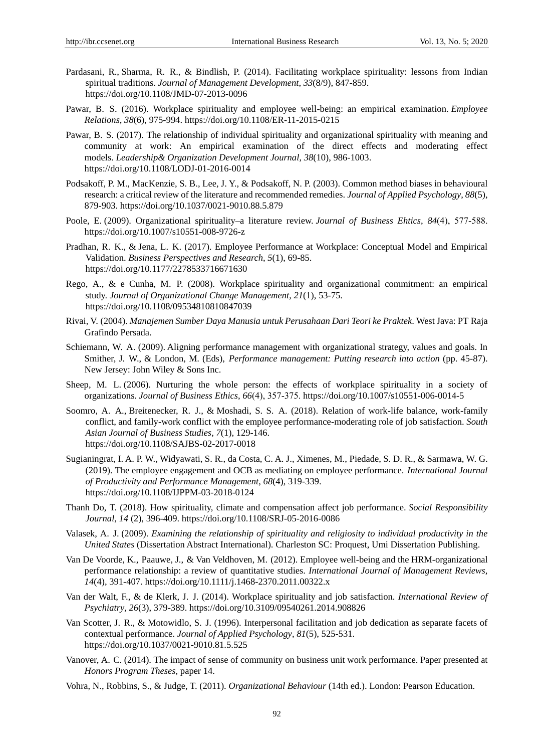- [Pardasani,](https://www-emeraldinsight-com.adu-lib-database.idm.oclc.org/author/Pardasani%2C+Rupali) R., [Sharma,](https://www-emeraldinsight-com.adu-lib-database.idm.oclc.org/author/Sharma%2C+Radha) R. R., & [Bindlish,](https://www-emeraldinsight-com.adu-lib-database.idm.oclc.org/author/Bindlish%2C+Puneet) P. (2014). Facilitating workplace spirituality: lessons from Indian spiritual traditions. *Journal of Management Development*, *33*(8/9), 847-859. <https://doi.org/10.1108/JMD-07-2013-0096>
- Pawar, B. [S. \(](https://www-emeraldinsight-com.adu-lib-database.idm.oclc.org/author/Pawar%2C+Badrinarayan+Shankar)2016). Workplace spirituality and employee well-being: an empirical examination. *Employee Relations*, *38*(6), 975-994. https://doi.org/10.1108/ER-11-2015-0215
- Pawar, B. [S. \(](https://www-emeraldinsight-com.adu-lib-database.idm.oclc.org/author/Pawar%2C+Badrinarayan+Shankar)2017). The relationship of individual spirituality and organizational spirituality with meaning and community at work: An empirical examination of the direct effects and moderating effect models. *Leadership& Organization Development Journal*, *38*(10), 986-1003. https://doi.org/10.1108/LODJ-01-2016-0014
- Podsakoff, P. M., MacKenzie, S. B., Lee, J. Y., & Podsakoff, N. P. (2003). Common method biases in behavioural research: a critical review of the literature and recommended remedies. *Journal of Applied Psychology*, *88*(5), 879-903. [https://doi.org/10.1037/0021-9010.88.5.879](https://psycnet.apa.org/doi/10.1037/0021-9010.88.5.879)
- Poole, E. (2009). Organizational spirituality–a literature review. *Journal of Business Ehtics*, *84*(4), 577‐588. https://doi.org/10.1007/s10551-008-9726-z
- [Pradhan,](https://journals.sagepub.com/doi/full/10.1177/2278533716671630) R. K., & [Jena,](https://journals.sagepub.com/doi/full/10.1177/2278533716671630) L. K. (2017). Employee Performance at Workplace: Conceptual Model and Empirical Validation. *Business Perspectives and Research*, *5*(1), 69-85. https://doi.org/10.1177/2278533716671630
- [Rego,](https://www-emeraldinsight-com.adu-lib-database.idm.oclc.org/author/Rego%2C+Arm%C3%A9nio) A., & [e Cunha,](https://www-emeraldinsight-com.adu-lib-database.idm.oclc.org/author/Pina+E+Cunha%2C+Miguel) M. P. (2008). Workplace spirituality and organizational commitment: an empirical study. *Journal of Organizational Change Management*, *21*(1), 53-75. <https://doi.org/10.1108/09534810810847039>
- Rivai, V. (2004). *Manajemen Sumber Daya Manusia untuk Perusahaan Dari Teori ke Praktek*. West Java: PT Raja Grafindo Persada.
- Schiemann, W. A. (2009). Aligning performance management with organizational strategy, values and goals. In Smither, J. W., & London, M. (Eds), *Performance management: Putting research into action* (pp. 45-87). New Jersey: John Wiley & Sons Inc.
- Sheep, M. L. (2006). Nurturing the whole person: the effects of workplace spirituality in a society of organizations. *Journal of Business Ethics*, *66*(4), 357‐375. https://doi.org/10.1007/s10551-006-0014-5
- [Soomro,](https://www-emeraldinsight-com.adu-lib-database.idm.oclc.org/author/Soomro%2C+Aqeel+Ahmed) A. A., [Breitenecker,](https://www-emeraldinsight-com.adu-lib-database.idm.oclc.org/author/Breitenecker%2C+Robert+J) R. J., & [Moshadi,](https://www-emeraldinsight-com.adu-lib-database.idm.oclc.org/author/Shah%2C+Syed+Afzal+Moshadi) S. S. A. (2018). Relation of work-life balance, work-family conflict, and family-work conflict with the employee performance-moderating role of job satisfaction. *South Asian Journal of Business Studies*, *7*(1), 129-146. <https://doi.org/10.1108/SAJBS-02-2017-0018>
- [Sugianingrat,](https://www-emeraldinsight-com.adu-lib-database.idm.oclc.org/author/Ayu+Putu+Widani+Sugianingrat%2C+Ida) I. A. P. W., [Widyawati,](https://www-emeraldinsight-com.adu-lib-database.idm.oclc.org/author/Rini+Widyawati%2C+Sapta) S. R., [da Costa,](https://www-emeraldinsight-com.adu-lib-database.idm.oclc.org/author/Alexandra+de+Jesus+da+Costa%2C+Carla) C. A. J., [Ximenes,](https://www-emeraldinsight-com.adu-lib-database.idm.oclc.org/author/Ximenes%2C+Mateus) M., [Piedade,](https://www-emeraldinsight-com.adu-lib-database.idm.oclc.org/author/Dos+Reis+Piedade%2C+Salustiano) S. D. R., & [Sarmawa,](https://www-emeraldinsight-com.adu-lib-database.idm.oclc.org/author/Gede+Sarmawa%2C+Wayan) W. G. (2019). The employee engagement and OCB as mediating on employee performance. *International Journal of Productivity and Performance Management*, *68*(4), 319-339. https://doi.org/10.1108/IJPPM-03-2018-0124
- [Thanh Do,](https://www-emeraldinsight-com.adu-lib-database.idm.oclc.org/author/Do%2C+Tung+Thanh) T. (2018). How spirituality, climate and compensation affect job performance. *Social Responsibility Journal*, *14* (2), 396-409. https://doi.org/10.1108/SRJ-05-2016-0086
- Valasek, A. J. (2009). *Examining the relationship of spirituality and religiosity to individual productivity in the United States* (Dissertation Abstract International). Charleston SC[: Proquest, Umi Dissertation Publishing.](https://www.bookdepository.com/publishers/Proquest-Umi-Dissertation-Publishing)
- Van De Voorde, K., Paauwe, J., & Van Veldhoven, M. (2012). Employee well-being and the HRM-organizational performance relationship: a review of quantitative studies. *International Journal of Management Reviews*, *14*(4), 391-407.<https://doi.org/10.1111/j.1468-2370.2011.00322.x>
- Van der Walt, F., & de Klerk, J. J. (2014). Workplace spirituality and job satisfaction. *International Review of Psychiatry*, *26*(3), 379-389. https://doi.org/10.3109/09540261.2014.908826
- Van Scotter, J. R., & Motowidlo, S. J. (1996). Interpersonal facilitation and job dedication as separate facets of contextual performance. *Journal of Applied Psychology*, *81*(5), 525-531. https://doi.org/10.1037/0021-9010.81.5.525
- Vanover, A. C. (2014). The impact of sense of community on business unit work performance. Paper presented at *Honors Program Theses*, paper 14.
- Vohra, N., Robbins, S., & Judge, T. (2011). *Organizational Behaviour* (14th ed.). London: Pearson Education.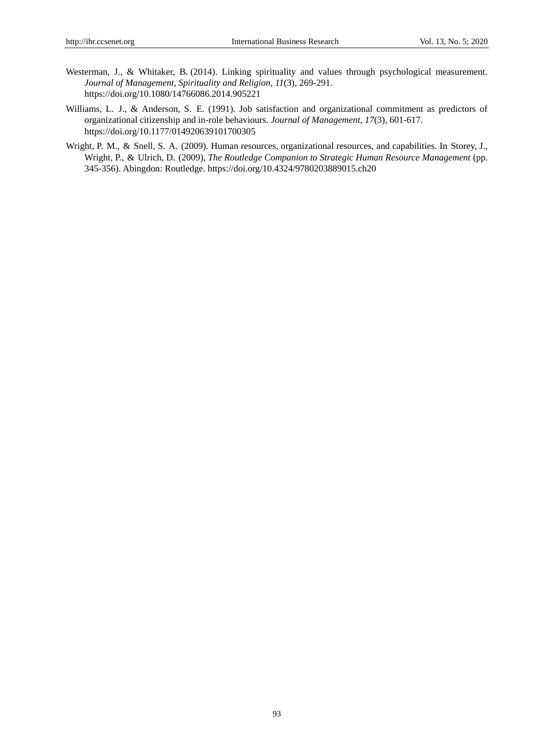- Westerman, J., & Whitaker, B. (2014). Linking spirituality and values through psychological measurement. *Journal of Management, Spirituality and Religion*, *11*(3), 269-291. https://doi.org/10.1080/14766086.2014.905221
- Williams, L. J., & Anderson, S. E. (1991). Job satisfaction and organizational commitment as predictors of organizational citizenship and in-role behaviours. *Journal of Management*, *17*(3), 601-617. https://doi.org/10.1177/014920639101700305
- Wright, P. M., & Snell, S. A. (2009). Human resources, organizational resources, and capabilities. In Storey, J., Wright, P., & Ulrich, D. (2009), *The Routledge Companion to Strategic Human Resource Management* (pp. 345-356). Abingdon: Routledge. https://doi.org/10.4324/9780203889015.ch20